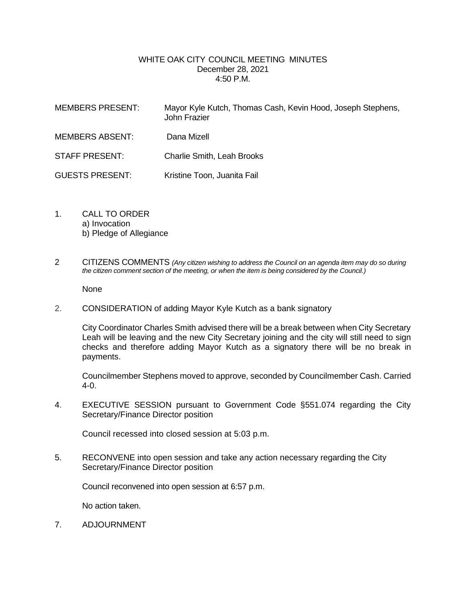## WHITE OAK CITY COUNCIL MEETING MINUTES December 28, 2021 4:50 P.M.

| <b>MEMBERS PRESENT:</b> | Mayor Kyle Kutch, Thomas Cash, Kevin Hood, Joseph Stephens,<br>John Frazier |
|-------------------------|-----------------------------------------------------------------------------|
| <b>MEMBERS ABSENT:</b>  | Dana Mizell                                                                 |
| <b>STAFF PRESENT:</b>   | <b>Charlie Smith, Leah Brooks</b>                                           |
| <b>GUESTS PRESENT:</b>  | Kristine Toon, Juanita Fail                                                 |

- 1. CALL TO ORDER a) Invocation b) Pledge of Allegiance
- 2 CITIZENS COMMENTS *(Any citizen wishing to address the Council on an agenda item may do so during the citizen comment section of the meeting, or when the item is being considered by the Council.)*

None

2. CONSIDERATION of adding Mayor Kyle Kutch as a bank signatory

City Coordinator Charles Smith advised there will be a break between when City Secretary Leah will be leaving and the new City Secretary joining and the city will still need to sign checks and therefore adding Mayor Kutch as a signatory there will be no break in payments.

Councilmember Stephens moved to approve, seconded by Councilmember Cash. Carried 4-0.

4. EXECUTIVE SESSION pursuant to Government Code §551.074 regarding the City Secretary/Finance Director position

Council recessed into closed session at 5:03 p.m.

5. RECONVENE into open session and take any action necessary regarding the City Secretary/Finance Director position

Council reconvened into open session at 6:57 p.m.

No action taken.

7. ADJOURNMENT